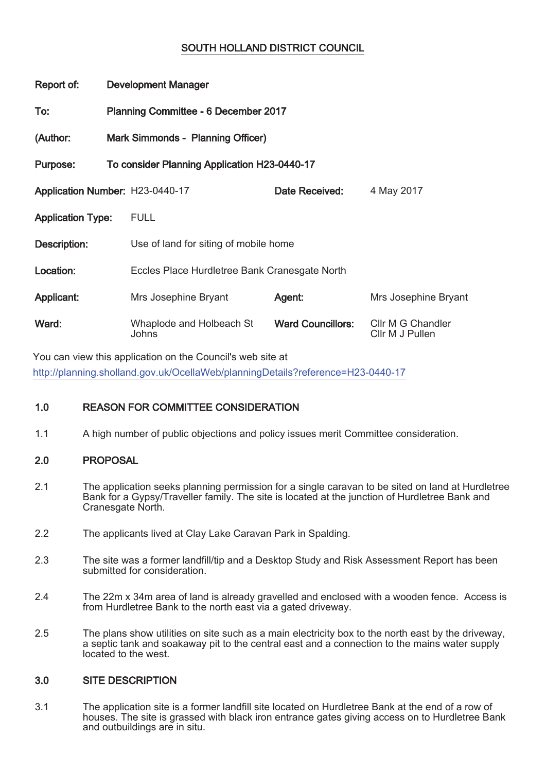# SOUTH HOLLAND DISTRICT COUNCIL

| Report of:                      | <b>Development Manager</b>                  |                                               |                          |                                      |  |  |
|---------------------------------|---------------------------------------------|-----------------------------------------------|--------------------------|--------------------------------------|--|--|
| To:                             | <b>Planning Committee - 6 December 2017</b> |                                               |                          |                                      |  |  |
| (Author:                        |                                             | Mark Simmonds - Planning Officer)             |                          |                                      |  |  |
| Purpose:                        |                                             | To consider Planning Application H23-0440-17  |                          |                                      |  |  |
| Application Number: H23-0440-17 |                                             |                                               | Date Received:           | 4 May 2017                           |  |  |
| <b>Application Type:</b>        |                                             | <b>FULL</b>                                   |                          |                                      |  |  |
| Description:                    |                                             | Use of land for siting of mobile home         |                          |                                      |  |  |
| Location:                       |                                             | Eccles Place Hurdletree Bank Cranesgate North |                          |                                      |  |  |
| Applicant:                      |                                             | Mrs Josephine Bryant                          | Agent:                   | Mrs Josephine Bryant                 |  |  |
| Ward:                           |                                             | Whaplode and Holbeach St<br>Johns             | <b>Ward Councillors:</b> | Cllr M G Chandler<br>Cllr M J Pullen |  |  |

You can view this application on the Council's web site at http://planning.sholland.gov.uk/OcellaWeb/planningDetails?reference=H23-0440-17

# 1.0 REASON FOR COMMITTEE CONSIDERATION

1.1 A high number of public objections and policy issues merit Committee consideration.

# 2.0 PROPOSAL

- 2.1 The application seeks planning permission for a single caravan to be sited on land at Hurdletree Bank for a Gypsy/Traveller family. The site is located at the junction of Hurdletree Bank and Cranesgate North.
- 2.2 The applicants lived at Clay Lake Caravan Park in Spalding.
- 2.3 The site was a former landfill/tip and a Desktop Study and Risk Assessment Report has been submitted for consideration.
- 2.4 The 22m x 34m area of land is already gravelled and enclosed with a wooden fence. Access is from Hurdletree Bank to the north east via a gated driveway.
- 2.5 The plans show utilities on site such as a main electricity box to the north east by the driveway, a septic tank and soakaway pit to the central east and a connection to the mains water supply located to the west.

# 3.0 SITE DESCRIPTION

3.1 The application site is a former landfill site located on Hurdletree Bank at the end of a row of houses. The site is grassed with black iron entrance gates giving access on to Hurdletree Bank and outbuildings are in situ.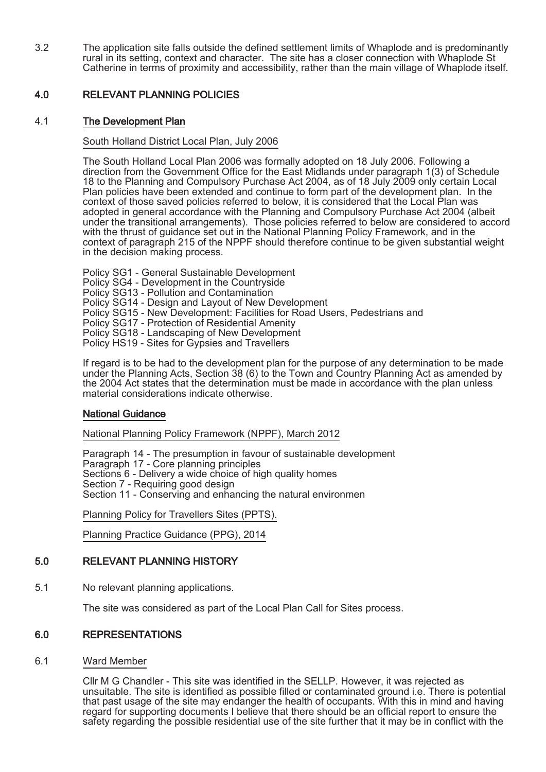3.2 The application site falls outside the defined settlement limits of Whaplode and is predominantly rural in its setting, context and character. The site has a closer connection with Whaplode St Catherine in terms of proximity and accessibility, rather than the main village of Whaplode itself.

# 4.0 RELEVANT PLANNING POLICIES

# 4.1 The Development Plan

### South Holland District Local Plan, July 2006

The South Holland Local Plan 2006 was formally adopted on 18 July 2006. Following a direction from the Government Office for the East Midlands under paragraph 1(3) of Schedule 18 to the Planning and Compulsory Purchase Act 2004, as of 18 July 2009 only certain Local Plan policies have been extended and continue to form part of the development plan. In the context of those saved policies referred to below, it is considered that the Local Plan was adopted in general accordance with the Planning and Compulsory Purchase Act 2004 (albeit under the transitional arrangements). Those policies referred to below are considered to accord with the thrust of guidance set out in the National Planning Policy Framework, and in the context of paragraph 215 of the NPPF should therefore continue to be given substantial weight in the decision making process.

Policy SG1 - General Sustainable Development Policy SG4 - Development in the Countryside Policy SG13 - Pollution and Contamination Policy SG14 - Design and Layout of New Development Policy SG15 - New Development: Facilities for Road Users, Pedestrians and Policy SG17 - Protection of Residential Amenity Policy SG18 - Landscaping of New Development Policy HS19 - Sites for Gypsies and Travellers

If regard is to be had to the development plan for the purpose of any determination to be made under the Planning Acts, Section 38 (6) to the Town and Country Planning Act as amended by the 2004 Act states that the determination must be made in accordance with the plan unless material considerations indicate otherwise.

# National Guidance

National Planning Policy Framework (NPPF), March 2012

Paragraph 14 - The presumption in favour of sustainable development Paragraph 17 - Core planning principles Sections 6 - Delivery a wide choice of high quality homes Section 7 - Requiring good design Section 11 - Conserving and enhancing the natural environmen

Planning Policy for Travellers Sites (PPTS).

Planning Practice Guidance (PPG), 2014

# 5.0 RELEVANT PLANNING HISTORY

5.1 No relevant planning applications.

The site was considered as part of the Local Plan Call for Sites process.

# 6.0 REPRESENTATIONS

6.1 Ward Member

Cllr M G Chandler - This site was identified in the SELLP. However, it was rejected as unsuitable. The site is identified as possible filled or contaminated ground i.e. There is potential that past usage of the site may endanger the health of occupants. With this in mind and having regard for supporting documents I believe that there should be an official report to ensure the safety regarding the possible residential use of the site further that it may be in conflict with the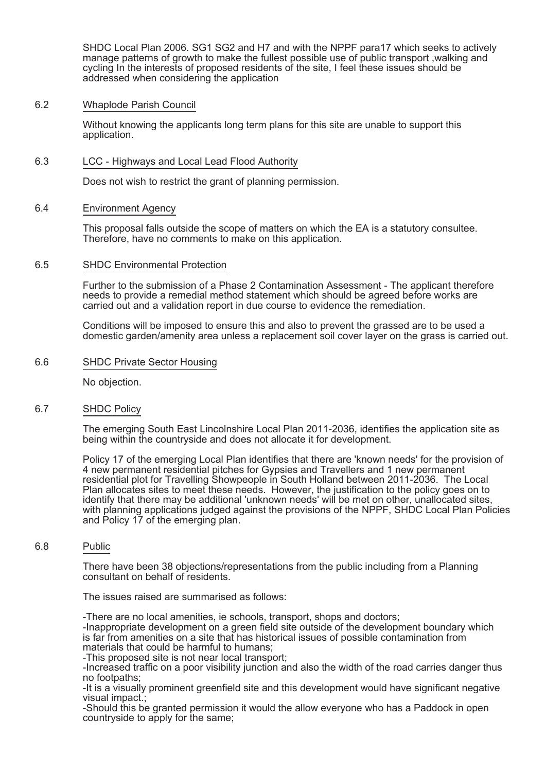SHDC Local Plan 2006. SG1 SG2 and H7 and with the NPPF para17 which seeks to actively manage patterns of growth to make the fullest possible use of public transport ,walking and cycling In the interests of proposed residents of the site, I feel these issues should be addressed when considering the application

#### 6.2 Whaplode Parish Council

Without knowing the applicants long term plans for this site are unable to support this application.

#### 6.3 LCC - Highways and Local Lead Flood Authority

Does not wish to restrict the grant of planning permission.

#### 6.4 Environment Agency

This proposal falls outside the scope of matters on which the EA is a statutory consultee. Therefore, have no comments to make on this application.

#### 6.5 SHDC Environmental Protection

Further to the submission of a Phase 2 Contamination Assessment - The applicant therefore needs to provide a remedial method statement which should be agreed before works are carried out and a validation report in due course to evidence the remediation.

Conditions will be imposed to ensure this and also to prevent the grassed are to be used a domestic garden/amenity area unless a replacement soil cover layer on the grass is carried out.

#### 6.6 SHDC Private Sector Housing

No objection.

#### 6.7 SHDC Policy

The emerging South East Lincolnshire Local Plan 2011-2036, identifies the application site as being within the countryside and does not allocate it for development.

Policy 17 of the emerging Local Plan identifies that there are 'known needs' for the provision of 4 new permanent residential pitches for Gypsies and Travellers and 1 new permanent residential plot for Travelling Showpeople in South Holland between 2011-2036. The Local Plan allocates sites to meet these needs. However, the justification to the policy goes on to identify that there may be additional 'unknown needs' will be met on other, unallocated sites, with planning applications judged against the provisions of the NPPF, SHDC Local Plan Policies and Policy 17 of the emerging plan.

#### 6.8 Public

There have been 38 objections/representations from the public including from a Planning consultant on behalf of residents.

The issues raised are summarised as follows:

-There are no local amenities, ie schools, transport, shops and doctors;

-Inappropriate development on a green field site outside of the development boundary which is far from amenities on a site that has historical issues of possible contamination from materials that could be harmful to humans;

-This proposed site is not near local transport:

-Increased traffic on a poor visibility junction and also the width of the road carries danger thus no footpaths;

-It is a visually prominent greenfield site and this development would have significant negative visual impact.;

-Should this be granted permission it would the allow everyone who has a Paddock in open country side to apply for the same: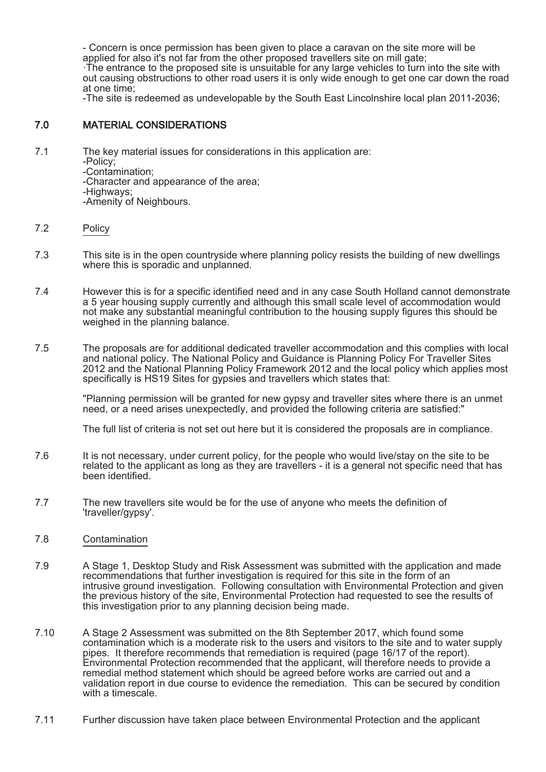- Concern is once permission has been given to place a caravan on the site more will be applied for also it's not far from the other proposed travellers site on mill gate;

·The entrance to the proposed site is unsuitable for any large vehicles to turn into the site with out causing obstructions to other road users it is only wide enough to get one car down the road at one time;

-The site is redeemed as undevelopable by the South East Lincolnshire local plan 2011-2036;

# 7.0 MATERIAL CONSIDERATIONS

- 7.1 The key material issues for considerations in this application are:
	- -Policy;
	- -Contamination;

-Character and appearance of the area;

-Highways;

-Amenity of Neighbours.

### 7.2 Policy

- 7.3 This site is in the open countryside where planning policy resists the building of new dwellings where this is sporadic and unplanned.
- 7.4 However this is for a specific identified need and in any case South Holland cannot demonstrate a 5 year housing supply currently and although this small scale level of accommodation would not make any substantial meaningful contribution to the housing supply figures this should be weighed in the planning balance.
- 7.5 The proposals are for additional dedicated traveller accommodation and this complies with local and national policy. The National Policy and Guidance is Planning Policy For Traveller Sites 2012 and the National Planning Policy Framework 2012 and the local policy which applies most specifically is HS19 Sites for gypsies and travellers which states that:

"Planning permission will be granted for new gypsy and traveller sites where there is an unmet need, or a need arises unexpectedly, and provided the following criteria are satisfied:"

The full list of criteria is not set out here but it is considered the proposals are in compliance.

- 7.6 It is not necessary, under current policy, for the people who would live/stay on the site to be related to the applicant as long as they are travellers - it is a general not specific need that has been identified.
- 7.7 The new travellers site would be for the use of anyone who meets the definition of 'traveller/gypsy'.
- 7.8 Contamination
- 7.9 A Stage 1, Desktop Study and Risk Assessment was submitted with the application and made recommendations that further investigation is required for this site in the form of an intrusive ground investigation. Following consultation with Environmental Protection and given the previous history of the site, Environmental Protection had requested to see the results of this investigation prior to any planning decision being made.
- 7.10 A Stage 2 Assessment was submitted on the 8th September 2017, which found some contamination which is a moderate risk to the users and visitors to the site and to water supply pipes. It therefore recommends that remediation is required (page 16/17 of the report). Environmental Protection recommended that the applicant, will therefore needs to provide a remedial method statement which should be agreed before works are carried out and a validation report in due course to evidence the remediation. This can be secured by condition with a timescale
- 7.11 Further discussion have taken place between Environmental Protection and the applicant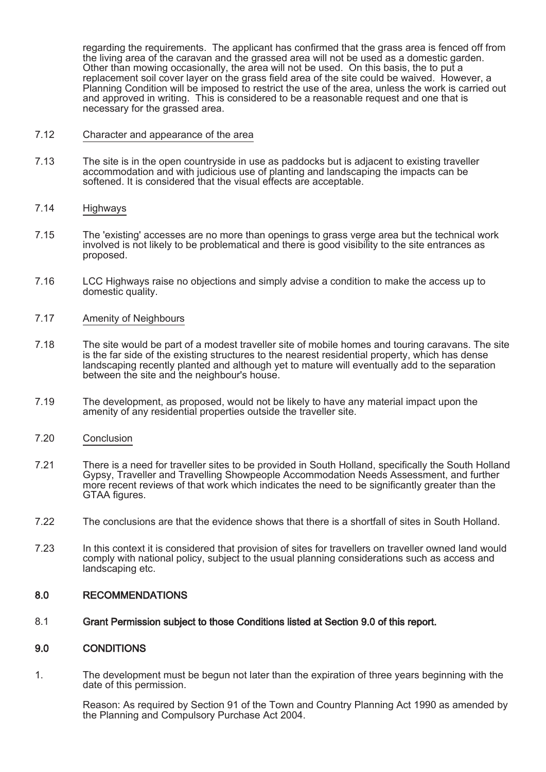regarding the requirements. The applicant has confirmed that the grass area is fenced off from the living area of the caravan and the grassed area will not be used as a domestic garden. Other than mowing occasionally, the area will not be used. On this basis, the to put a replacement soil cover layer on the grass field area of the site could be waived. However, a Planning Condition will be imposed to restrict the use of the area, unless the work is carried out and approved in writing. This is considered to be a reasonable request and one that is necessary for the grassed area.

- 7.12 Character and appearance of the area
- 7.13 The site is in the open countryside in use as paddocks but is adjacent to existing traveller accommodation and with judicious use of planting and landscaping the impacts can be softened. It is considered that the visual effects are acceptable.
- 7.14 Highways
- 7.15 The 'existing' accesses are no more than openings to grass verge area but the technical work involved is not likely to be problematical and there is good visibility to the site entrances as proposed.
- 7.16 LCC Highways raise no objections and simply advise a condition to make the access up to domestic quality.
- 7.17 Amenity of Neighbours
- 7.18 The site would be part of a modest traveller site of mobile homes and touring caravans. The site is the far side of the existing structures to the nearest residential property, which has dense landscaping recently planted and although yet to mature will eventually add to the separation between the site and the neighbour's house.
- 7.19 The development, as proposed, would not be likely to have any material impact upon the amenity of any residential properties outside the traveller site.
- 7.20 Conclusion
- 7.21 There is a need for traveller sites to be provided in South Holland, specifically the South Holland Gypsy, Traveller and Travelling Showpeople Accommodation Needs Assessment, and further more recent reviews of that work which indicates the need to be significantly greater than the GTAA figures.
- 7.22 The conclusions are that the evidence shows that there is a shortfall of sites in South Holland.
- 7.23 In this context it is considered that provision of sites for travellers on traveller owned land would comply with national policy, subject to the usual planning considerations such as access and landscaping etc.

#### 8.0 RECOMMENDATIONS

8.1 Grant Permission subject to those Conditions listed at Section 9.0 of this report.

#### 9.0 CONDITIONS

1. The development must be begun not later than the expiration of three years beginning with the date of this permission.

Reason: As required by Section 91 of the Town and Country Planning Act 1990 as amended by the Planning and Compulsory Purchase Act 2004.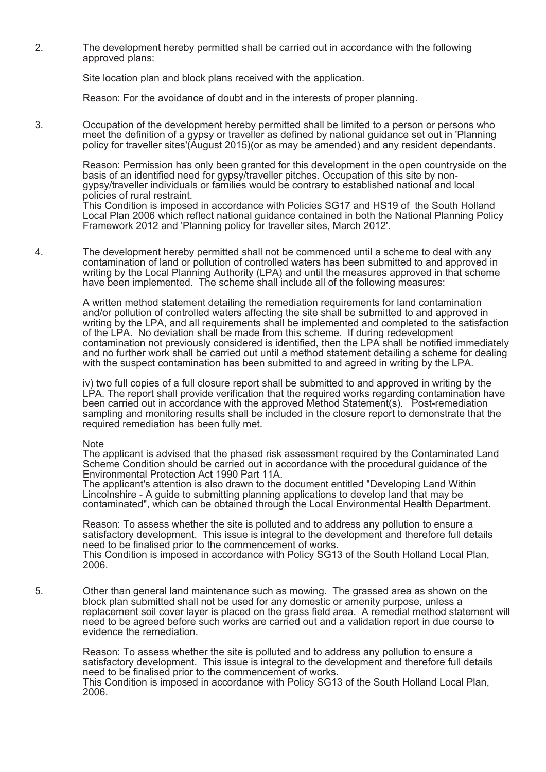2. The development hereby permitted shall be carried out in accordance with the following approved plans:

Site location plan and block plans received with the application.

Reason: For the avoidance of doubt and in the interests of proper planning.

3. Occupation of the development hereby permitted shall be limited to a person or persons who meet the definition of a gypsy or traveller as defined by national guidance set out in 'Planning policy for traveller sites'(August 2015)(or as may be amended) and any resident dependants.

> Reason: Permission has only been granted for this development in the open countryside on the basis of an identified need for gypsy/traveller pitches. Occupation of this site by nongypsy/traveller individuals or families would be contrary to established national and local policies of rural restraint.

> This Condition is imposed in accordance with Policies SG17 and HS19 of the South Holland Local Plan 2006 which reflect national guidance contained in both the National Planning Policy Framework 2012 and 'Planning policy for traveller sites, March 2012'.

4. The development hereby permitted shall not be commenced until a scheme to deal with any contamination of land or pollution of controlled waters has been submitted to and approved in writing by the Local Planning Authority (LPA) and until the measures approved in that scheme have been implemented. The scheme shall include all of the following measures:

> A written method statement detailing the remediation requirements for land contamination and/or pollution of controlled waters affecting the site shall be submitted to and approved in writing by the LPA, and all requirements shall be implemented and completed to the satisfaction of the LPA. No deviation shall be made from this scheme. If during redevelopment contamination not previously considered is identified, then the LPA shall be notified immediately and no further work shall be carried out until a method statement detailing a scheme for dealing with the suspect contamination has been submitted to and agreed in writing by the LPA.

iv) two full copies of a full closure report shall be submitted to and approved in writing by the LPA. The report shall provide verification that the required works regarding contamination have been carried out in accordance with the approved Method Statement(s). Post-remediation sampling and monitoring results shall be included in the closure report to demonstrate that the required remediation has been fully met.

#### Note

The applicant is advised that the phased risk assessment required by the Contaminated Land Scheme Condition should be carried out in accordance with the procedural guidance of the Environmental Protection Act 1990 Part 11A.

The applicant's attention is also drawn to the document entitled "Developing Land Within Lincolnshire - A guide to submitting planning applications to develop land that may be contaminated", which can be obtained through the Local Environmental Health Department.

Reason: To assess whether the site is polluted and to address any pollution to ensure a satisfactory development. This issue is integral to the development and therefore full details need to be finalised prior to the commencement of works.

This Condition is imposed in accordance with Policy SG13 of the South Holland Local Plan, 2006.

5. Other than general land maintenance such as mowing. The grassed area as shown on the block plan submitted shall not be used for any domestic or amenity purpose, unless a replacement soil cover layer is placed on the grass field area. A remedial method statement will need to be agreed before such works are carried out and a validation report in due course to evidence the remediation.

Reason: To assess whether the site is polluted and to address any pollution to ensure a satisfactory development. This issue is integral to the development and therefore full details need to be finalised prior to the commencement of works. This Condition is imposed in accordance with Policy SG13 of the South Holland Local Plan, 2006.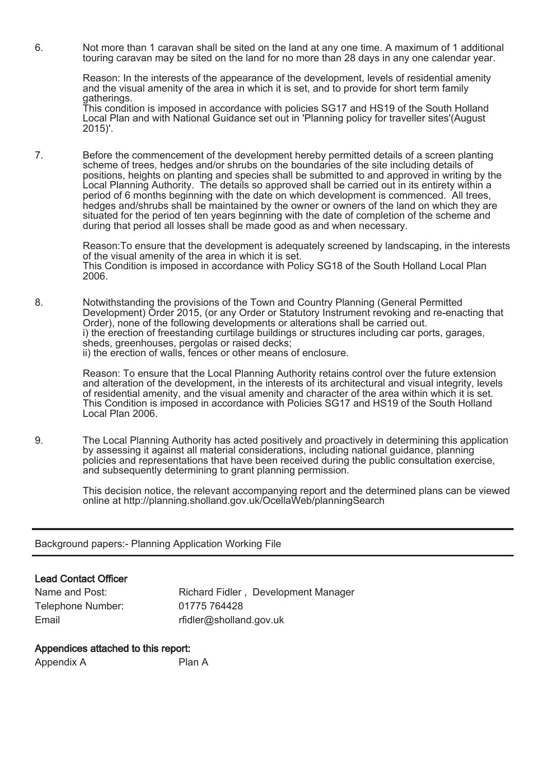6. Not more than 1 caravan shall be sited on the land at any one time. A maximum of 1 additional touring caravan may be sited on the land for no more than 28 days in any one calendar year.

> Reason: In the interests of the appearance of the development, levels of residential amenity and the visual amenity of the area in which it is set, and to provide for short term family gatherings.

> This condition is imposed in accordance with policies SG17 and HS19 of the South Holland Local Plan and with National Guidance set out in 'Planning policy for traveller sites'(August 2015)'.

7. Before the commencement of the development hereby permitted details of a screen planting scheme of trees, hedges and/or shrubs on the boundaries of the site including details of positions, heights on planting and species shall be submitted to and approved in writing by the Local Planning Authority. The details so approved shall be carried out in its entirety within a period of 6 months beginning with the date on which development is commenced. All trees, hedges and/shrubs shall be maintained by the owner or owners of the land on which they are situated for the period of ten years beginning with the date of completion of the scheme and during that period all losses shall be made good as and when necessary.

Reason:To ensure that the development is adequately screened by landscaping, in the interests of the visual amenity of the area in which it is set. This Condition is imposed in accordance with Policy SG18 of the South Holland Local Plan 2006.

8. Notwithstanding the provisions of the Town and Country Planning (General Permitted Development) Order 2015, (or any Order or Statutory Instrument revoking and re-enacting that Order), none of the following developments or alterations shall be carried out. i) the erection of freestanding curtilage buildings or structures including car ports, garages, sheds, greenhouses, pergolas or raised decks; ii) the erection of walls, fences or other means of enclosure.

> Reason: To ensure that the Local Planning Authority retains control over the future extension and alteration of the development, in the interests of its architectural and visual integrity, levels of residential amenity, and the visual amenity and character of the area within which it is set. This Condition is imposed in accordance with Policies SG17 and HS19 of the South Holland Local Plan 2006.

9. The Local Planning Authority has acted positively and proactively in determining this application by assessing it against all material considerations, including national guidance, planning policies and representations that have been received during the public consultation exercise, and subsequently determining to grant planning permission.

> This decision notice, the relevant accompanying report and the determined plans can be viewed online at http://planning.sholland.gov.uk/OcellaWeb/planningSearch

Background papers:- Planning Application Working File

# Lead Contact Officer

| Name and Post:    | Richard Fidler, Development Manager |
|-------------------|-------------------------------------|
| Telephone Number: | 01775 764428                        |
| Email             | rfidler@sholland.gov.uk             |

# Appendices attached to this report:

| Appendix A | Plan A |
|------------|--------|